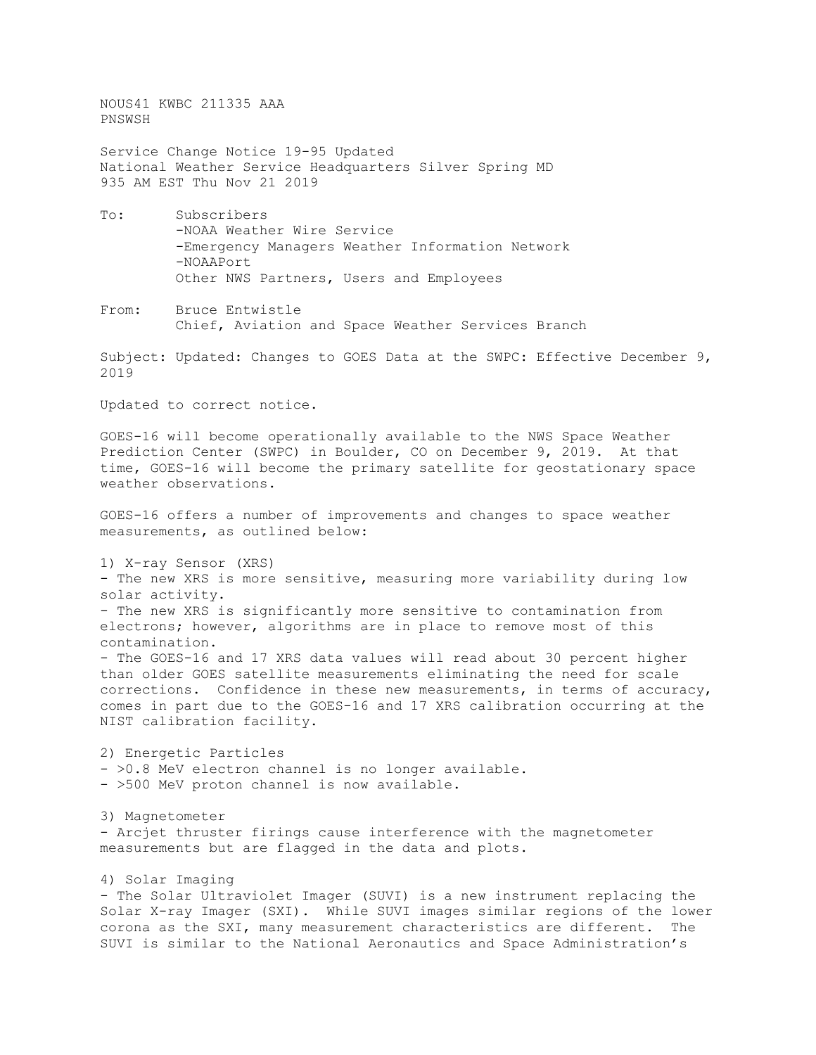NOUS41 KWBC 211335 AAA PNSWSH

Service Change Notice 19-95 Updated National Weather Service Headquarters Silver Spring MD 935 AM EST Thu Nov 21 2019

- To: Subscribers -NOAA Weather Wire Service -Emergency Managers Weather Information Network -NOAAPort Other NWS Partners, Users and Employees
- From: Bruce Entwistle Chief, Aviation and Space Weather Services Branch

Subject: Updated: Changes to GOES Data at the SWPC: Effective December 9, 2019

Updated to correct notice.

GOES-16 will become operationally available to the NWS Space Weather Prediction Center (SWPC) in Boulder, CO on December 9, 2019. At that time, GOES-16 will become the primary satellite for geostationary space weather observations.

GOES-16 offers a number of improvements and changes to space weather measurements, as outlined below:

1) X-ray Sensor (XRS) - The new XRS is more sensitive, measuring more variability during low solar activity. - The new XRS is significantly more sensitive to contamination from electrons; however, algorithms are in place to remove most of this contamination. - The GOES-16 and 17 XRS data values will read about 30 percent higher than older GOES satellite measurements eliminating the need for scale corrections. Confidence in these new measurements, in terms of accuracy, comes in part due to the GOES-16 and 17 XRS calibration occurring at the NIST calibration facility.

2) Energetic Particles - >0.8 MeV electron channel is no longer available. - >500 MeV proton channel is now available.

3) Magnetometer - Arcjet thruster firings cause interference with the magnetometer measurements but are flagged in the data and plots.

4) Solar Imaging - The Solar Ultraviolet Imager (SUVI) is a new instrument replacing the Solar X-ray Imager (SXI). While SUVI images similar regions of the lower<br>corona as the SXI, many measurement characteristics are different. The corona as the SXI, many measurement characteristics are different. SUVI is similar to the National Aeronautics and Space Administration's